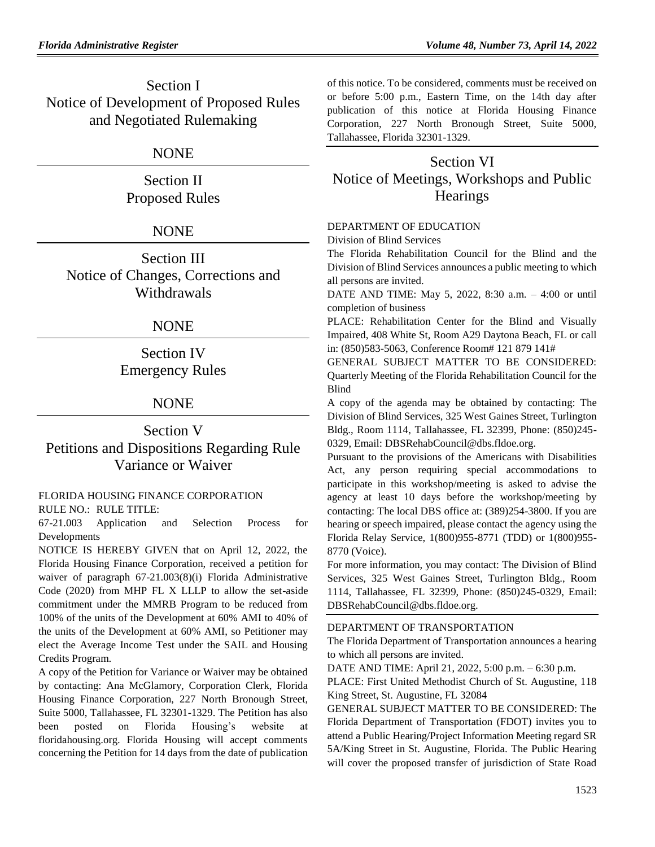Section I Notice of Development of Proposed Rules and Negotiated Rulemaking

# NONE

Section II Proposed Rules

# **NONE**

Section III Notice of Changes, Corrections and Withdrawals

## NONE

Section IV Emergency Rules

# NONE

# Section V Petitions and Dispositions Regarding Rule Variance or Waiver

## [FLORIDA HOUSING FINANCE CORPORATION](https://www.flrules.org/gateway/department.asp?id=67) RULE NO.: RULE TITLE:

[67-21.003](https://www.flrules.org/gateway/ruleNo.asp?id=67-21.003) Application and Selection Process for Developments

NOTICE IS HEREBY GIVEN that on April 12, 2022, the Florida Housing Finance Corporation, received a petition for waiver of paragraph 67-21.003(8)(i) Florida Administrative Code (2020) from MHP FL X LLLP to allow the set-aside commitment under the MMRB Program to be reduced from 100% of the units of the Development at 60% AMI to 40% of the units of the Development at 60% AMI, so Petitioner may elect the Average Income Test under the SAIL and Housing Credits Program.

A copy of the Petition for Variance or Waiver may be obtained by contacting: Ana McGlamory, Corporation Clerk, Florida Housing Finance Corporation, 227 North Bronough Street, Suite 5000, Tallahassee, FL 32301-1329. The Petition has also been posted on Florida Housing's website at floridahousing.org. Florida Housing will accept comments concerning the Petition for 14 days from the date of publication of this notice. To be considered, comments must be received on or before 5:00 p.m., Eastern Time, on the 14th day after publication of this notice at Florida Housing Finance Corporation, 227 North Bronough Street, Suite 5000, Tallahassee, Florida 32301-1329.

# Section VI Notice of Meetings, Workshops and Public **Hearings**

## [DEPARTMENT OF EDUCATION](https://www.flrules.org/gateway/department.asp?id=6)

[Division of Blind Services](https://www.flrules.org/gateway/organization.asp?id=1419)

The Florida Rehabilitation Council for the Blind and the Division of Blind Services announces a public meeting to which all persons are invited.

DATE AND TIME: May 5, 2022, 8:30 a.m. – 4:00 or until completion of business

PLACE: Rehabilitation Center for the Blind and Visually Impaired, 408 White St, Room A29 Daytona Beach, FL or call in: (850)583-5063, Conference Room# 121 879 141#

GENERAL SUBJECT MATTER TO BE CONSIDERED: Quarterly Meeting of the Florida Rehabilitation Council for the Blind

A copy of the agenda may be obtained by contacting: The Division of Blind Services, 325 West Gaines Street, Turlington Bldg., Room 1114, Tallahassee, FL 32399, Phone: (850)245- 0329, Email: DBSRehabCouncil@dbs.fldoe.org.

Pursuant to the provisions of the Americans with Disabilities Act, any person requiring special accommodations to participate in this workshop/meeting is asked to advise the agency at least 10 days before the workshop/meeting by contacting: The local DBS office at: (389)254-3800. If you are hearing or speech impaired, please contact the agency using the Florida Relay Service, 1(800)955-8771 (TDD) or 1(800)955- 8770 (Voice).

For more information, you may contact: The Division of Blind Services, 325 West Gaines Street, Turlington Bldg., Room 1114, Tallahassee, FL 32399, Phone: (850)245-0329, Email: DBSRehabCouncil@dbs.fldoe.org.

## [DEPARTMENT OF TRANSPORTATION](https://www.flrules.org/gateway/department.asp?id=14)

The Florida Department of Transportation announces a hearing to which all persons are invited.

DATE AND TIME: April 21, 2022, 5:00 p.m. – 6:30 p.m.

PLACE: First United Methodist Church of St. Augustine, 118 King Street, St. Augustine, FL 32084

GENERAL SUBJECT MATTER TO BE CONSIDERED: The Florida Department of Transportation (FDOT) invites you to attend a Public Hearing/Project Information Meeting regard SR 5A/King Street in St. Augustine, Florida. The Public Hearing will cover the proposed transfer of jurisdiction of State Road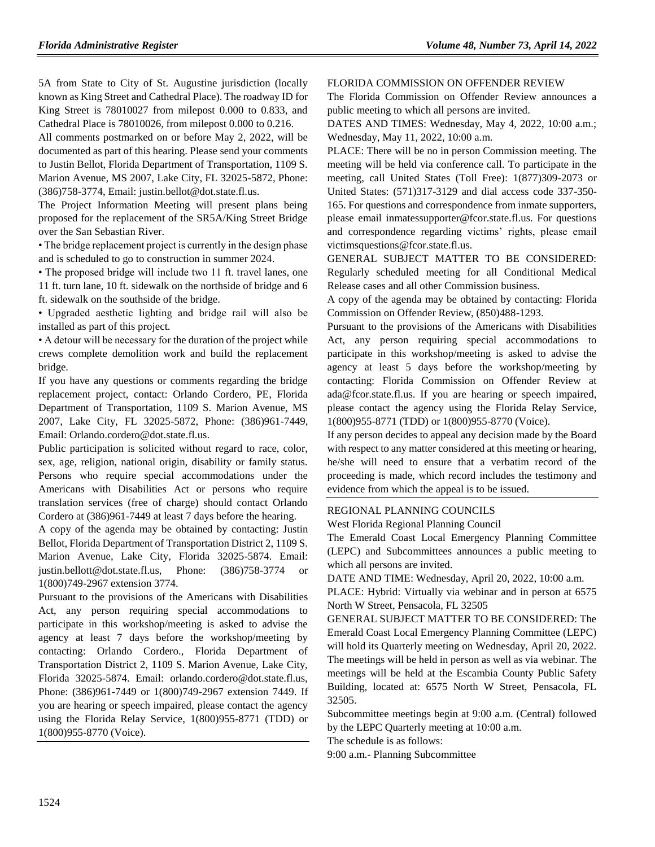5A from State to City of St. Augustine jurisdiction (locally known as King Street and Cathedral Place). The roadway ID for King Street is 78010027 from milepost 0.000 to 0.833, and Cathedral Place is 78010026, from milepost 0.000 to 0.216.

All comments postmarked on or before May 2, 2022, will be documented as part of this hearing. Please send your comments to Justin Bellot, Florida Department of Transportation, 1109 S. Marion Avenue, MS 2007, Lake City, FL 32025-5872, Phone: (386)758-3774, Email: justin.bellot@dot.state.fl.us.

The Project Information Meeting will present plans being proposed for the replacement of the SR5A/King Street Bridge over the San Sebastian River.

• The bridge replacement project is currently in the design phase and is scheduled to go to construction in summer 2024.

• The proposed bridge will include two 11 ft. travel lanes, one 11 ft. turn lane, 10 ft. sidewalk on the northside of bridge and 6 ft. sidewalk on the southside of the bridge.

• Upgraded aesthetic lighting and bridge rail will also be installed as part of this project.

• A detour will be necessary for the duration of the project while crews complete demolition work and build the replacement bridge.

If you have any questions or comments regarding the bridge replacement project, contact: Orlando Cordero, PE, Florida Department of Transportation, 1109 S. Marion Avenue, MS 2007, Lake City, FL 32025-5872, Phone: (386)961-7449, Email: Orlando.cordero@dot.state.fl.us.

Public participation is solicited without regard to race, color, sex, age, religion, national origin, disability or family status. Persons who require special accommodations under the Americans with Disabilities Act or persons who require translation services (free of charge) should contact Orlando Cordero at (386)961-7449 at least 7 days before the hearing.

A copy of the agenda may be obtained by contacting: Justin Bellot, Florida Department of Transportation District 2, 1109 S. Marion Avenue, Lake City, Florida 32025-5874. Email: justin.bellott@dot.state.fl.us, Phone: (386)758-3774 or 1(800)749-2967 extension 3774.

Pursuant to the provisions of the Americans with Disabilities Act, any person requiring special accommodations to participate in this workshop/meeting is asked to advise the agency at least 7 days before the workshop/meeting by contacting: Orlando Cordero., Florida Department of Transportation District 2, 1109 S. Marion Avenue, Lake City, Florida 32025-5874. Email: orlando.cordero@dot.state.fl.us, Phone: (386)961-7449 or 1(800)749-2967 extension 7449. If you are hearing or speech impaired, please contact the agency using the Florida Relay Service, 1(800)955-8771 (TDD) or 1(800)955-8770 (Voice).

#### [FLORIDA COMMISSION ON OFFENDER REVIEW](https://www.flrules.org/gateway/department.asp?id=23)

The Florida Commission on Offender Review announces a public meeting to which all persons are invited.

DATES AND TIMES: Wednesday, May 4, 2022, 10:00 a.m.; Wednesday, May 11, 2022, 10:00 a.m.

PLACE: There will be no in person Commission meeting. The meeting will be held via conference call. To participate in the meeting, call United States (Toll Free): 1(877)309-2073 or United States: (571)317-3129 and dial access code 337-350- 165. For questions and correspondence from inmate supporters, please email inmatessupporter@fcor.state.fl.us. For questions and correspondence regarding victims' rights, please email victimsquestions@fcor.state.fl.us.

GENERAL SUBJECT MATTER TO BE CONSIDERED: Regularly scheduled meeting for all Conditional Medical Release cases and all other Commission business.

A copy of the agenda may be obtained by contacting: Florida Commission on Offender Review, (850)488-1293.

Pursuant to the provisions of the Americans with Disabilities Act, any person requiring special accommodations to participate in this workshop/meeting is asked to advise the agency at least 5 days before the workshop/meeting by contacting: Florida Commission on Offender Review at ada@fcor.state.fl.us. If you are hearing or speech impaired, please contact the agency using the Florida Relay Service, 1(800)955-8771 (TDD) or 1(800)955-8770 (Voice).

If any person decides to appeal any decision made by the Board with respect to any matter considered at this meeting or hearing, he/she will need to ensure that a verbatim record of the proceeding is made, which record includes the testimony and evidence from which the appeal is to be issued.

#### [REGIONAL PLANNING COUNCILS](https://www.flrules.org/gateway/department.asp?id=29)

[West Florida Regional Planning Council](https://www.flrules.org/gateway/organization.asp?id=57)

The Emerald Coast Local Emergency Planning Committee (LEPC) and Subcommittees announces a public meeting to which all persons are invited.

DATE AND TIME: Wednesday, April 20, 2022, 10:00 a.m.

PLACE: Hybrid: Virtually via webinar and in person at 6575 North W Street, Pensacola, FL 32505

GENERAL SUBJECT MATTER TO BE CONSIDERED: The Emerald Coast Local Emergency Planning Committee (LEPC) will hold its Quarterly meeting on Wednesday, April 20, 2022. The meetings will be held in person as well as via webinar. The meetings will be held at the Escambia County Public Safety Building, located at: 6575 North W Street, Pensacola, FL 32505.

Subcommittee meetings begin at 9:00 a.m. (Central) followed by the LEPC Quarterly meeting at 10:00 a.m.

The schedule is as follows:

9:00 a.m.- Planning Subcommittee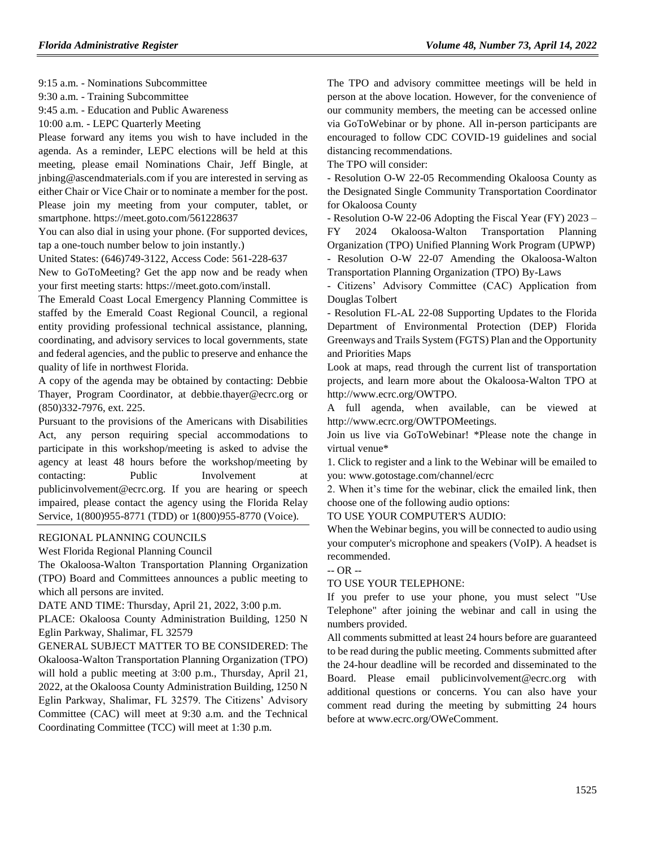9:15 a.m. - Nominations Subcommittee

9:30 a.m. - Training Subcommittee

9:45 a.m. - Education and Public Awareness

10:00 a.m. - LEPC Quarterly Meeting

Please forward any items you wish to have included in the agenda. As a reminder, LEPC elections will be held at this meeting, please email Nominations Chair, Jeff Bingle, at jnbing@ascendmaterials.com if you are interested in serving as either Chair or Vice Chair or to nominate a member for the post. Please join my meeting from your computer, tablet, or smartphone. https://meet.goto.com/561228637

You can also dial in using your phone. (For supported devices, tap a one-touch number below to join instantly.)

United States: (646)749-3122, Access Code: 561-228-637

New to GoToMeeting? Get the app now and be ready when your first meeting starts: https://meet.goto.com/install.

The Emerald Coast Local Emergency Planning Committee is staffed by the Emerald Coast Regional Council, a regional entity providing professional technical assistance, planning, coordinating, and advisory services to local governments, state and federal agencies, and the public to preserve and enhance the quality of life in northwest Florida.

A copy of the agenda may be obtained by contacting: Debbie Thayer, Program Coordinator, at debbie.thayer@ecrc.org or (850)332-7976, ext. 225.

Pursuant to the provisions of the Americans with Disabilities Act, any person requiring special accommodations to participate in this workshop/meeting is asked to advise the agency at least 48 hours before the workshop/meeting by contacting: Public Involvement at publicinvolvement@ecrc.org. If you are hearing or speech impaired, please contact the agency using the Florida Relay Service, 1(800)955-8771 (TDD) or 1(800)955-8770 (Voice).

#### [REGIONAL PLANNING COUNCILS](https://www.flrules.org/gateway/department.asp?id=29)

[West Florida Regional Planning Council](https://www.flrules.org/gateway/organization.asp?id=57)

The Okaloosa-Walton Transportation Planning Organization (TPO) Board and Committees announces a public meeting to which all persons are invited.

DATE AND TIME: Thursday, April 21, 2022, 3:00 p.m.

PLACE: Okaloosa County Administration Building, 1250 N Eglin Parkway, Shalimar, FL 32579

GENERAL SUBJECT MATTER TO BE CONSIDERED: The Okaloosa-Walton Transportation Planning Organization (TPO) will hold a public meeting at 3:00 p.m., Thursday, April 21, 2022, at the Okaloosa County Administration Building, 1250 N Eglin Parkway, Shalimar, FL 32579. The Citizens' Advisory Committee (CAC) will meet at 9:30 a.m. and the Technical Coordinating Committee (TCC) will meet at 1:30 p.m.

The TPO and advisory committee meetings will be held in person at the above location. However, for the convenience of our community members, the meeting can be accessed online via GoToWebinar or by phone. All in-person participants are encouraged to follow CDC COVID-19 guidelines and social distancing recommendations.

The TPO will consider:

- Resolution O-W 22-05 Recommending Okaloosa County as the Designated Single Community Transportation Coordinator for Okaloosa County

- Resolution O-W 22-06 Adopting the Fiscal Year (FY) 2023 – FY 2024 Okaloosa-Walton Transportation Planning Organization (TPO) Unified Planning Work Program (UPWP)

- Resolution O-W 22-07 Amending the Okaloosa-Walton Transportation Planning Organization (TPO) By-Laws

- Citizens' Advisory Committee (CAC) Application from Douglas Tolbert

- Resolution FL-AL 22-08 Supporting Updates to the Florida Department of Environmental Protection (DEP) Florida Greenways and Trails System (FGTS) Plan and the Opportunity and Priorities Maps

Look at maps, read through the current list of transportation projects, and learn more about the Okaloosa-Walton TPO at http://www.ecrc.org/OWTPO.

A full agenda, when available, can be viewed at http://www.ecrc.org/OWTPOMeetings.

Join us live via GoToWebinar! \*Please note the change in virtual venue\*

1. Click to register and a link to the Webinar will be emailed to you: www.gotostage.com/channel/ecrc

2. When it's time for the webinar, click the emailed link, then choose one of the following audio options:

TO USE YOUR COMPUTER'S AUDIO:

When the Webinar begins, you will be connected to audio using your computer's microphone and speakers (VoIP). A headset is recommended.

-- OR --

#### TO USE YOUR TELEPHONE:

If you prefer to use your phone, you must select "Use Telephone" after joining the webinar and call in using the numbers provided.

All comments submitted at least 24 hours before are guaranteed to be read during the public meeting. Comments submitted after the 24-hour deadline will be recorded and disseminated to the Board. Please email publicinvolvement@ecrc.org with additional questions or concerns. You can also have your comment read during the meeting by submitting 24 hours before at www.ecrc.org/OWeComment.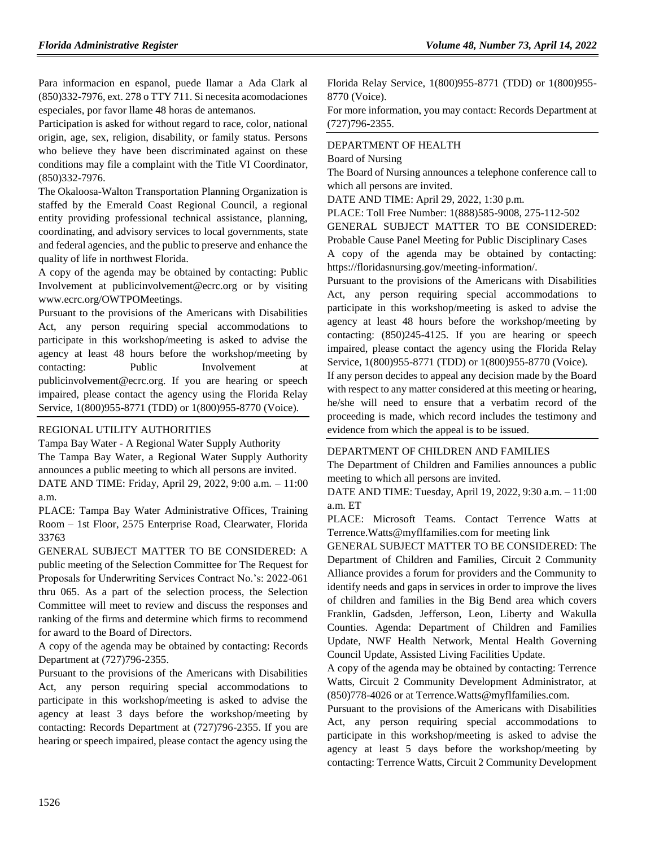Para informacion en espanol, puede llamar a Ada Clark al (850)332-7976, ext. 278 o TTY 711. Si necesita acomodaciones especiales, por favor llame 48 horas de antemanos.

Participation is asked for without regard to race, color, national origin, age, sex, religion, disability, or family status. Persons who believe they have been discriminated against on these conditions may file a complaint with the Title VI Coordinator, (850)332-7976.

The Okaloosa-Walton Transportation Planning Organization is staffed by the Emerald Coast Regional Council, a regional entity providing professional technical assistance, planning, coordinating, and advisory services to local governments, state and federal agencies, and the public to preserve and enhance the quality of life in northwest Florida.

A copy of the agenda may be obtained by contacting: Public Involvement at publicinvolvement@ecrc.org or by visiting www.ecrc.org/OWTPOMeetings.

Pursuant to the provisions of the Americans with Disabilities Act, any person requiring special accommodations to participate in this workshop/meeting is asked to advise the agency at least 48 hours before the workshop/meeting by contacting: Public Involvement at publicinvolvement@ecrc.org. If you are hearing or speech impaired, please contact the agency using the Florida Relay Service, 1(800)955-8771 (TDD) or 1(800)955-8770 (Voice).

#### [REGIONAL UTILITY AUTHORITIES](https://www.flrules.org/gateway/department.asp?id=49)

Tampa Bay Water - [A Regional Water Supply Authority](https://www.flrules.org/gateway/organization.asp?id=158) The Tampa Bay Water, a Regional Water Supply Authority announces a public meeting to which all persons are invited.

DATE AND TIME: Friday, April 29, 2022, 9:00 a.m. – 11:00 a.m.

PLACE: Tampa Bay Water Administrative Offices, Training Room – 1st Floor, 2575 Enterprise Road, Clearwater, Florida 33763

GENERAL SUBJECT MATTER TO BE CONSIDERED: A public meeting of the Selection Committee for The Request for Proposals for Underwriting Services Contract No.'s: 2022-061 thru 065. As a part of the selection process, the Selection Committee will meet to review and discuss the responses and ranking of the firms and determine which firms to recommend for award to the Board of Directors.

A copy of the agenda may be obtained by contacting: Records Department at (727)796-2355.

Pursuant to the provisions of the Americans with Disabilities Act, any person requiring special accommodations to participate in this workshop/meeting is asked to advise the agency at least 3 days before the workshop/meeting by contacting: Records Department at (727)796-2355. If you are hearing or speech impaired, please contact the agency using the

Florida Relay Service, 1(800)955-8771 (TDD) or 1(800)955- 8770 (Voice).

For more information, you may contact: Records Department at (727)796-2355.

#### [DEPARTMENT OF HEALTH](https://www.flrules.org/gateway/department.asp?id=64)

[Board of Nursing](https://www.flrules.org/gateway/organization.asp?id=332)

The Board of Nursing announces a telephone conference call to which all persons are invited.

DATE AND TIME: April 29, 2022, 1:30 p.m.

PLACE: Toll Free Number: 1(888)585-9008, 275-112-502

GENERAL SUBJECT MATTER TO BE CONSIDERED: Probable Cause Panel Meeting for Public Disciplinary Cases

A copy of the agenda may be obtained by contacting: https://floridasnursing.gov/meeting-information/.

Pursuant to the provisions of the Americans with Disabilities Act, any person requiring special accommodations to participate in this workshop/meeting is asked to advise the agency at least 48 hours before the workshop/meeting by contacting: (850)245-4125. If you are hearing or speech impaired, please contact the agency using the Florida Relay Service, 1(800)955-8771 (TDD) or 1(800)955-8770 (Voice).

If any person decides to appeal any decision made by the Board with respect to any matter considered at this meeting or hearing, he/she will need to ensure that a verbatim record of the proceeding is made, which record includes the testimony and evidence from which the appeal is to be issued.

#### [DEPARTMENT OF CHILDREN AND FAMILIES](https://www.flrules.org/gateway/department.asp?id=65)

The Department of Children and Families announces a public meeting to which all persons are invited.

DATE AND TIME: Tuesday, April 19, 2022, 9:30 a.m. – 11:00 a.m. ET

PLACE: Microsoft Teams. Contact Terrence Watts at Terrence.Watts@myflfamilies.com for meeting link

GENERAL SUBJECT MATTER TO BE CONSIDERED: The Department of Children and Families, Circuit 2 Community Alliance provides a forum for providers and the Community to identify needs and gaps in services in order to improve the lives of children and families in the Big Bend area which covers Franklin, Gadsden, Jefferson, Leon, Liberty and Wakulla Counties. Agenda: Department of Children and Families Update, NWF Health Network, Mental Health Governing Council Update, Assisted Living Facilities Update.

A copy of the agenda may be obtained by contacting: Terrence Watts, Circuit 2 Community Development Administrator, at (850)778-4026 or at Terrence.Watts@myflfamilies.com.

Pursuant to the provisions of the Americans with Disabilities Act, any person requiring special accommodations to participate in this workshop/meeting is asked to advise the agency at least 5 days before the workshop/meeting by contacting: Terrence Watts, Circuit 2 Community Development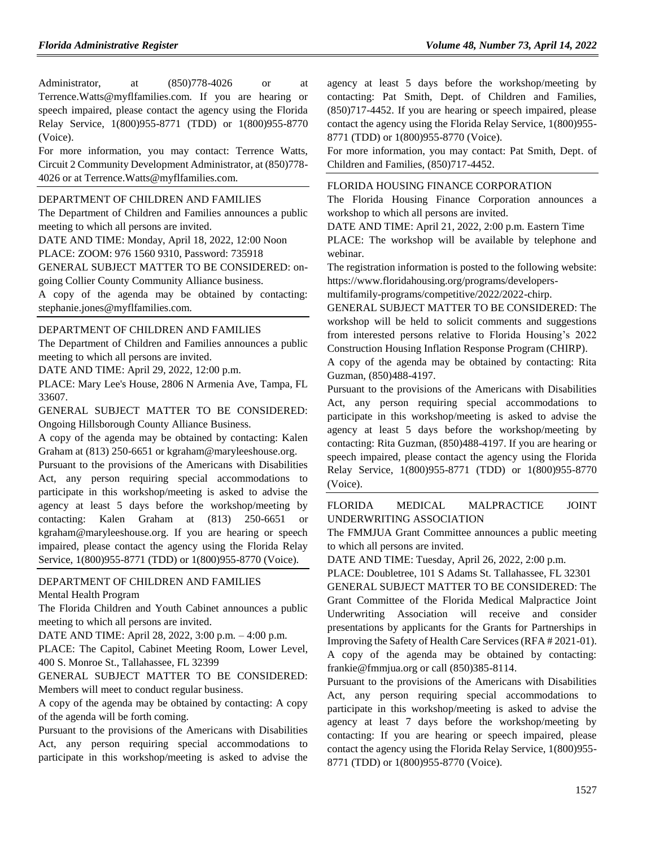Administrator, at  $(850)778-4026$  or at Terrence.Watts@myflfamilies.com. If you are hearing or speech impaired, please contact the agency using the Florida Relay Service, 1(800)955-8771 (TDD) or 1(800)955-8770 (Voice).

For more information, you may contact: Terrence Watts, Circuit 2 Community Development Administrator, at (850)778- 4026 or at Terrence.Watts@myflfamilies.com.

#### [DEPARTMENT OF CHILDREN AND FAMILIES](https://flrules.org/gateway/department.asp?id=65)

The Department of Children and Families announces a public meeting to which all persons are invited.

DATE AND TIME: Monday, April 18, 2022, 12:00 Noon

PLACE: ZOOM: 976 1560 9310, Password: 735918

GENERAL SUBJECT MATTER TO BE CONSIDERED: on-

going Collier County Community Alliance business.

A copy of the agenda may be obtained by contacting: stephanie.jones@myflfamilies.com.

### [DEPARTMENT OF CHILDREN AND FAMILIES](https://www.flrules.org/gateway/department.asp?id=65)

The Department of Children and Families announces a public meeting to which all persons are invited.

DATE AND TIME: April 29, 2022, 12:00 p.m.

PLACE: Mary Lee's House, 2806 N Armenia Ave, Tampa, FL 33607.

GENERAL SUBJECT MATTER TO BE CONSIDERED: Ongoing Hillsborough County Alliance Business.

A copy of the agenda may be obtained by contacting: Kalen Graham at (813) 250-6651 or kgraham@maryleeshouse.org.

Pursuant to the provisions of the Americans with Disabilities Act, any person requiring special accommodations to participate in this workshop/meeting is asked to advise the agency at least 5 days before the workshop/meeting by contacting: Kalen Graham at (813) 250-6651 or kgraham@maryleeshouse.org. If you are hearing or speech impaired, please contact the agency using the Florida Relay Service, 1(800)955-8771 (TDD) or 1(800)955-8770 (Voice).

### [DEPARTMENT OF CHILDREN AND FAMILIES](https://flrules.org/gateway/department.asp?id=65)

[Mental Health Program](https://flrules.org/gateway/organization.asp?id=344)

The Florida Children and Youth Cabinet announces a public meeting to which all persons are invited.

DATE AND TIME: April 28, 2022, 3:00 p.m. – 4:00 p.m.

PLACE: The Capitol, Cabinet Meeting Room, Lower Level, 400 S. Monroe St., Tallahassee, FL 32399

GENERAL SUBJECT MATTER TO BE CONSIDERED: Members will meet to conduct regular business.

A copy of the agenda may be obtained by contacting: A copy of the agenda will be forth coming.

Pursuant to the provisions of the Americans with Disabilities Act, any person requiring special accommodations to participate in this workshop/meeting is asked to advise the

agency at least 5 days before the workshop/meeting by contacting: Pat Smith, Dept. of Children and Families, (850)717-4452. If you are hearing or speech impaired, please contact the agency using the Florida Relay Service, 1(800)955- 8771 (TDD) or 1(800)955-8770 (Voice).

For more information, you may contact: Pat Smith, Dept. of Children and Families, (850)717-4452.

#### [FLORIDA HOUSING FINANCE CORPORATION](https://www.flrules.org/gateway/department.asp?id=67)

The Florida Housing Finance Corporation announces a workshop to which all persons are invited.

DATE AND TIME: April 21, 2022, 2:00 p.m. Eastern Time

PLACE: The workshop will be available by telephone and webinar.

The registration information is posted to the following website: https://www.floridahousing.org/programs/developers-

multifamily-programs/competitive/2022/2022-chirp.

GENERAL SUBJECT MATTER TO BE CONSIDERED: The workshop will be held to solicit comments and suggestions from interested persons relative to Florida Housing's 2022 Construction Housing Inflation Response Program (CHIRP).

A copy of the agenda may be obtained by contacting: Rita Guzman, (850)488-4197.

Pursuant to the provisions of the Americans with Disabilities Act, any person requiring special accommodations to participate in this workshop/meeting is asked to advise the agency at least 5 days before the workshop/meeting by contacting: Rita Guzman, (850)488-4197. If you are hearing or speech impaired, please contact the agency using the Florida Relay Service, 1(800)955-8771 (TDD) or 1(800)955-8770 (Voice).

[FLORIDA MEDICAL MALPRACTICE JOINT](https://www.flrules.org/gateway/organization.asp?id=575)  [UNDERWRITING ASSOCIATION](https://www.flrules.org/gateway/organization.asp?id=575)

The FMMJUA Grant Committee announces a public meeting to which all persons are invited.

DATE AND TIME: Tuesday, April 26, 2022, 2:00 p.m.

PLACE: Doubletree, 101 S Adams St. Tallahassee, FL 32301

GENERAL SUBJECT MATTER TO BE CONSIDERED: The Grant Committee of the Florida Medical Malpractice Joint Underwriting Association will receive and consider presentations by applicants for the Grants for Partnerships in Improving the Safety of Health Care Services (RFA # 2021-01). A copy of the agenda may be obtained by contacting:

frankie@fmmjua.org or call (850)385-8114.

Pursuant to the provisions of the Americans with Disabilities Act, any person requiring special accommodations to participate in this workshop/meeting is asked to advise the agency at least 7 days before the workshop/meeting by contacting: If you are hearing or speech impaired, please contact the agency using the Florida Relay Service, 1(800)955- 8771 (TDD) or 1(800)955-8770 (Voice).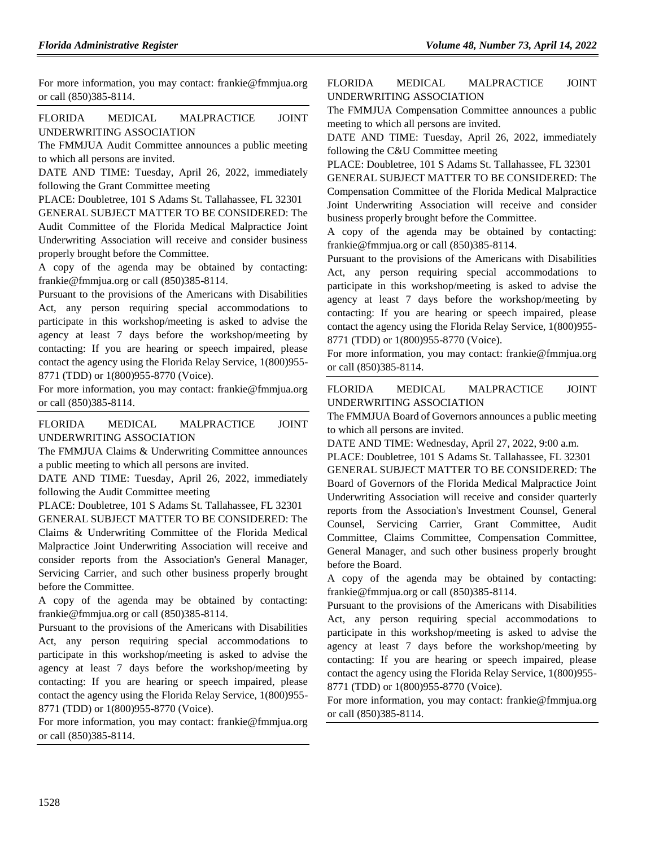For more information, you may contact: frankie@fmmjua.org or call (850)385-8114.

## [FLORIDA MEDICAL MALPRACTICE JOINT](https://www.flrules.org/gateway/organization.asp?id=575)  [UNDERWRITING ASSOCIATION](https://www.flrules.org/gateway/organization.asp?id=575)

The FMMJUA Audit Committee announces a public meeting to which all persons are invited.

DATE AND TIME: Tuesday, April 26, 2022, immediately following the Grant Committee meeting

PLACE: Doubletree, 101 S Adams St. Tallahassee, FL 32301

GENERAL SUBJECT MATTER TO BE CONSIDERED: The Audit Committee of the Florida Medical Malpractice Joint Underwriting Association will receive and consider business properly brought before the Committee.

A copy of the agenda may be obtained by contacting: frankie@fmmjua.org or call (850)385-8114.

Pursuant to the provisions of the Americans with Disabilities Act, any person requiring special accommodations to participate in this workshop/meeting is asked to advise the agency at least 7 days before the workshop/meeting by contacting: If you are hearing or speech impaired, please contact the agency using the Florida Relay Service, 1(800)955- 8771 (TDD) or 1(800)955-8770 (Voice).

For more information, you may contact: frankie@fmmjua.org or call (850)385-8114.

[FLORIDA MEDICAL MALPRACTICE JOINT](https://www.flrules.org/gateway/organization.asp?id=575)  [UNDERWRITING ASSOCIATION](https://www.flrules.org/gateway/organization.asp?id=575)

The FMMJUA Claims & Underwriting Committee announces a public meeting to which all persons are invited.

DATE AND TIME: Tuesday, April 26, 2022, immediately following the Audit Committee meeting

PLACE: Doubletree, 101 S Adams St. Tallahassee, FL 32301

GENERAL SUBJECT MATTER TO BE CONSIDERED: The Claims & Underwriting Committee of the Florida Medical Malpractice Joint Underwriting Association will receive and consider reports from the Association's General Manager, Servicing Carrier, and such other business properly brought before the Committee.

A copy of the agenda may be obtained by contacting: frankie@fmmjua.org or call (850)385-8114.

Pursuant to the provisions of the Americans with Disabilities Act, any person requiring special accommodations to participate in this workshop/meeting is asked to advise the agency at least 7 days before the workshop/meeting by contacting: If you are hearing or speech impaired, please contact the agency using the Florida Relay Service, 1(800)955- 8771 (TDD) or 1(800)955-8770 (Voice).

For more information, you may contact: frankie@fmmjua.org or call (850)385-8114.

[FLORIDA MEDICAL MALPRACTICE JOINT](https://www.flrules.org/gateway/organization.asp?id=575)  [UNDERWRITING ASSOCIATION](https://www.flrules.org/gateway/organization.asp?id=575)

The FMMJUA Compensation Committee announces a public meeting to which all persons are invited.

DATE AND TIME: Tuesday, April 26, 2022, immediately following the C&U Committee meeting

PLACE: Doubletree, 101 S Adams St. Tallahassee, FL 32301

GENERAL SUBJECT MATTER TO BE CONSIDERED: The Compensation Committee of the Florida Medical Malpractice Joint Underwriting Association will receive and consider business properly brought before the Committee.

A copy of the agenda may be obtained by contacting: frankie@fmmjua.org or call (850)385-8114.

Pursuant to the provisions of the Americans with Disabilities Act, any person requiring special accommodations to participate in this workshop/meeting is asked to advise the agency at least 7 days before the workshop/meeting by contacting: If you are hearing or speech impaired, please contact the agency using the Florida Relay Service, 1(800)955- 8771 (TDD) or 1(800)955-8770 (Voice).

For more information, you may contact: frankie@fmmjua.org or call (850)385-8114.

[FLORIDA MEDICAL MALPRACTICE JOINT](https://www.flrules.org/gateway/organization.asp?id=575)  [UNDERWRITING ASSOCIATION](https://www.flrules.org/gateway/organization.asp?id=575)

The FMMJUA Board of Governors announces a public meeting to which all persons are invited.

DATE AND TIME: Wednesday, April 27, 2022, 9:00 a.m.

PLACE: Doubletree, 101 S Adams St. Tallahassee, FL 32301

GENERAL SUBJECT MATTER TO BE CONSIDERED: The Board of Governors of the Florida Medical Malpractice Joint Underwriting Association will receive and consider quarterly reports from the Association's Investment Counsel, General Counsel, Servicing Carrier, Grant Committee, Audit Committee, Claims Committee, Compensation Committee, General Manager, and such other business properly brought before the Board.

A copy of the agenda may be obtained by contacting: frankie@fmmjua.org or call (850)385-8114.

Pursuant to the provisions of the Americans with Disabilities Act, any person requiring special accommodations to participate in this workshop/meeting is asked to advise the agency at least 7 days before the workshop/meeting by contacting: If you are hearing or speech impaired, please contact the agency using the Florida Relay Service, 1(800)955- 8771 (TDD) or 1(800)955-8770 (Voice).

For more information, you may contact: frankie@fmmjua.org or call (850)385-8114.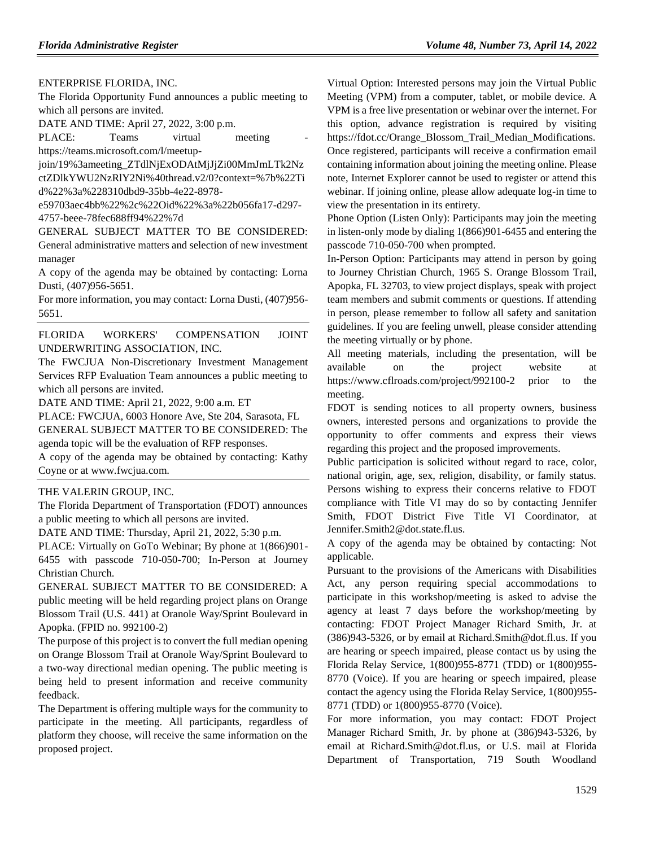[ENTERPRISE FLORIDA, INC.](https://www.flrules.org/gateway/organization.asp?id=680)

The Florida Opportunity Fund announces a public meeting to which all persons are invited.

DATE AND TIME: April 27, 2022, 3:00 p.m.

PLACE: Teams virtual meeting https://teams.microsoft.com/l/meetup-

join/19%3ameeting\_ZTdlNjExODAtMjJjZi00MmJmLTk2Nz ctZDlkYWU2NzRlY2Ni%40thread.v2/0?context=%7b%22Ti d%22%3a%228310dbd9-35bb-4e22-8978-

e59703aec4bb%22%2c%22Oid%22%3a%22b056fa17-d297- 4757-beee-78fec688ff94%22%7d

GENERAL SUBJECT MATTER TO BE CONSIDERED: General administrative matters and selection of new investment manager

A copy of the agenda may be obtained by contacting: Lorna Dusti, (407)956-5651.

For more information, you may contact: Lorna Dusti, (407)956- 5651.

[FLORIDA WORKERS' COMPENSATION JOINT](https://www.flrules.org/gateway/organization.asp?id=757)  [UNDERWRITING ASSOCIATION, INC.](https://www.flrules.org/gateway/organization.asp?id=757)

The FWCJUA Non-Discretionary Investment Management Services RFP Evaluation Team announces a public meeting to which all persons are invited.

DATE AND TIME: April 21, 2022, 9:00 a.m. ET

PLACE: FWCJUA, 6003 Honore Ave, Ste 204, Sarasota, FL GENERAL SUBJECT MATTER TO BE CONSIDERED: The

agenda topic will be the evaluation of RFP responses.

A copy of the agenda may be obtained by contacting: Kathy Coyne or at www.fwcjua.com.

## [THE VALERIN GROUP, INC.](https://www.flrules.org/gateway/organization.asp?id=1012)

The Florida Department of Transportation (FDOT) announces a public meeting to which all persons are invited.

DATE AND TIME: Thursday, April 21, 2022, 5:30 p.m.

PLACE: Virtually on GoTo Webinar; By phone at 1(866)901- 6455 with passcode 710-050-700; In-Person at Journey Christian Church.

GENERAL SUBJECT MATTER TO BE CONSIDERED: A public meeting will be held regarding project plans on Orange Blossom Trail (U.S. 441) at Oranole Way/Sprint Boulevard in Apopka. (FPID no. 992100-2)

The purpose of this project is to convert the full median opening on Orange Blossom Trail at Oranole Way/Sprint Boulevard to a two-way directional median opening. The public meeting is being held to present information and receive community feedback.

The Department is offering multiple ways for the community to participate in the meeting. All participants, regardless of platform they choose, will receive the same information on the proposed project.

Virtual Option: Interested persons may join the Virtual Public Meeting (VPM) from a computer, tablet, or mobile device. A VPM is a free live presentation or webinar over the internet. For this option, advance registration is required by visiting https://fdot.cc/Orange\_Blossom\_Trail\_Median\_Modifications. Once registered, participants will receive a confirmation email containing information about joining the meeting online. Please note, Internet Explorer cannot be used to register or attend this webinar. If joining online, please allow adequate log-in time to view the presentation in its entirety.

Phone Option (Listen Only): Participants may join the meeting in listen-only mode by dialing 1(866)901-6455 and entering the passcode 710-050-700 when prompted.

In-Person Option: Participants may attend in person by going to Journey Christian Church, 1965 S. Orange Blossom Trail, Apopka, FL 32703, to view project displays, speak with project team members and submit comments or questions. If attending in person, please remember to follow all safety and sanitation guidelines. If you are feeling unwell, please consider attending the meeting virtually or by phone.

All meeting materials, including the presentation, will be available on the project website at https://www.cflroads.com/project/992100-2 prior to the meeting.

FDOT is sending notices to all property owners, business owners, interested persons and organizations to provide the opportunity to offer comments and express their views regarding this project and the proposed improvements.

Public participation is solicited without regard to race, color, national origin, age, sex, religion, disability, or family status. Persons wishing to express their concerns relative to FDOT compliance with Title VI may do so by contacting Jennifer Smith, FDOT District Five Title VI Coordinator, at Jennifer.Smith2@dot.state.fl.us.

A copy of the agenda may be obtained by contacting: Not applicable.

Pursuant to the provisions of the Americans with Disabilities Act, any person requiring special accommodations to participate in this workshop/meeting is asked to advise the agency at least 7 days before the workshop/meeting by contacting: FDOT Project Manager Richard Smith, Jr. at (386)943-5326, or by email at Richard.Smith@dot.fl.us. If you are hearing or speech impaired, please contact us by using the Florida Relay Service, 1(800)955-8771 (TDD) or 1(800)955- 8770 (Voice). If you are hearing or speech impaired, please contact the agency using the Florida Relay Service, 1(800)955- 8771 (TDD) or 1(800)955-8770 (Voice).

For more information, you may contact: FDOT Project Manager Richard Smith, Jr. by phone at (386)943-5326, by email at Richard.Smith@dot.fl.us, or U.S. mail at Florida Department of Transportation, 719 South Woodland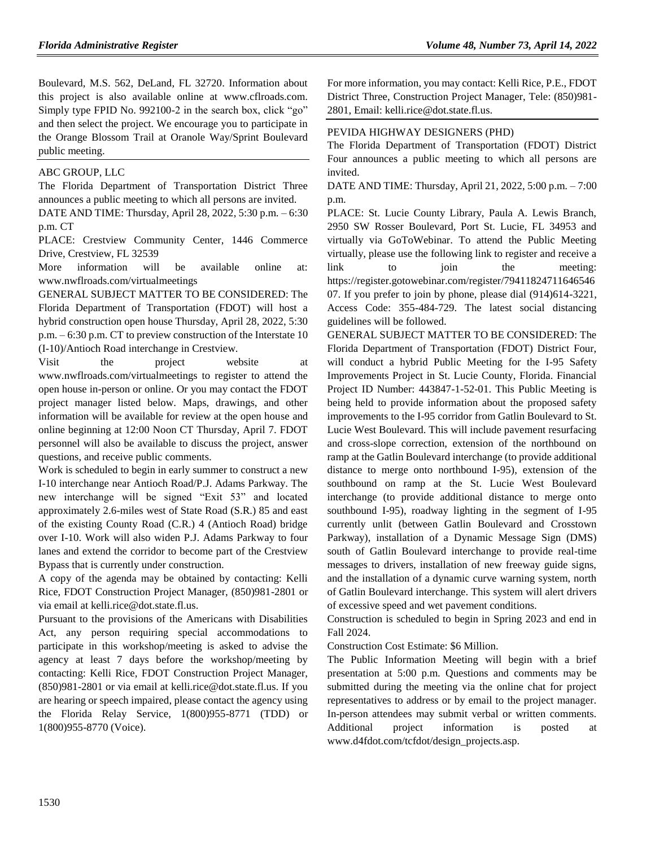Boulevard, M.S. 562, DeLand, FL 32720. Information about this project is also available online at www.cflroads.com. Simply type FPID No. 992100-2 in the search box, click "go" and then select the project. We encourage you to participate in the Orange Blossom Trail at Oranole Way/Sprint Boulevard public meeting.

#### [ABC GROUP, LLC](https://www.flrules.org/gateway/organization.asp?id=1021)

The Florida Department of Transportation District Three announces a public meeting to which all persons are invited.

DATE AND TIME: Thursday, April 28, 2022, 5:30 p.m. – 6:30 p.m. CT

PLACE: Crestview Community Center, 1446 Commerce Drive, Crestview, FL 32539

More information will be available online at: www.nwflroads.com/virtualmeetings

GENERAL SUBJECT MATTER TO BE CONSIDERED: The Florida Department of Transportation (FDOT) will host a hybrid construction open house Thursday, April 28, 2022, 5:30 p.m. – 6:30 p.m. CT to preview construction of the Interstate 10 (I-10)/Antioch Road interchange in Crestview.

Visit the project website at www.nwflroads.com/virtualmeetings to register to attend the open house in-person or online. Or you may contact the FDOT project manager listed below. Maps, drawings, and other information will be available for review at the open house and online beginning at 12:00 Noon CT Thursday, April 7. FDOT personnel will also be available to discuss the project, answer questions, and receive public comments.

Work is scheduled to begin in early summer to construct a new I-10 interchange near Antioch Road/P.J. Adams Parkway. The new interchange will be signed "Exit 53" and located approximately 2.6-miles west of State Road (S.R.) 85 and east of the existing County Road (C.R.) 4 (Antioch Road) bridge over I-10. Work will also widen P.J. Adams Parkway to four lanes and extend the corridor to become part of the Crestview Bypass that is currently under construction.

A copy of the agenda may be obtained by contacting: Kelli Rice, FDOT Construction Project Manager, (850)981-2801 or via email at kelli.rice@dot.state.fl.us.

Pursuant to the provisions of the Americans with Disabilities Act, any person requiring special accommodations to participate in this workshop/meeting is asked to advise the agency at least 7 days before the workshop/meeting by contacting: Kelli Rice, FDOT Construction Project Manager, (850)981-2801 or via email at kelli.rice@dot.state.fl.us. If you are hearing or speech impaired, please contact the agency using the Florida Relay Service, 1(800)955-8771 (TDD) or 1(800)955-8770 (Voice).

For more information, you may contact: Kelli Rice, P.E., FDOT District Three, Construction Project Manager, Tele: (850)981- 2801, Email: kelli.rice@dot.state.fl.us.

### [PEVIDA HIGHWAY DESIGNERS \(PHD\)](https://www.flrules.org/gateway/organization.asp?id=1434)

The Florida Department of Transportation (FDOT) District Four announces a public meeting to which all persons are invited.

DATE AND TIME: Thursday, April 21, 2022, 5:00 p.m. – 7:00 p.m.

PLACE: St. Lucie County Library, Paula A. Lewis Branch, 2950 SW Rosser Boulevard, Port St. Lucie, FL 34953 and virtually via GoToWebinar. To attend the Public Meeting virtually, please use the following link to register and receive a link to join the meeting: https://register.gotowebinar.com/register/79411824711646546 07. If you prefer to join by phone, please dial (914)614-3221, Access Code: 355-484-729. The latest social distancing guidelines will be followed.

GENERAL SUBJECT MATTER TO BE CONSIDERED: The Florida Department of Transportation (FDOT) District Four, will conduct a hybrid Public Meeting for the I-95 Safety Improvements Project in St. Lucie County, Florida. Financial Project ID Number: 443847-1-52-01. This Public Meeting is being held to provide information about the proposed safety improvements to the I-95 corridor from Gatlin Boulevard to St. Lucie West Boulevard. This will include pavement resurfacing and cross-slope correction, extension of the northbound on ramp at the Gatlin Boulevard interchange (to provide additional distance to merge onto northbound I-95), extension of the southbound on ramp at the St. Lucie West Boulevard interchange (to provide additional distance to merge onto southbound I-95), roadway lighting in the segment of I-95 currently unlit (between Gatlin Boulevard and Crosstown Parkway), installation of a Dynamic Message Sign (DMS) south of Gatlin Boulevard interchange to provide real-time messages to drivers, installation of new freeway guide signs, and the installation of a dynamic curve warning system, north of Gatlin Boulevard interchange. This system will alert drivers of excessive speed and wet pavement conditions.

Construction is scheduled to begin in Spring 2023 and end in Fall 2024.

Construction Cost Estimate: \$6 Million.

The Public Information Meeting will begin with a brief presentation at 5:00 p.m. Questions and comments may be submitted during the meeting via the online chat for project representatives to address or by email to the project manager. In-person attendees may submit verbal or written comments. Additional project information is posted at www.d4fdot.com/tcfdot/design\_projects.asp.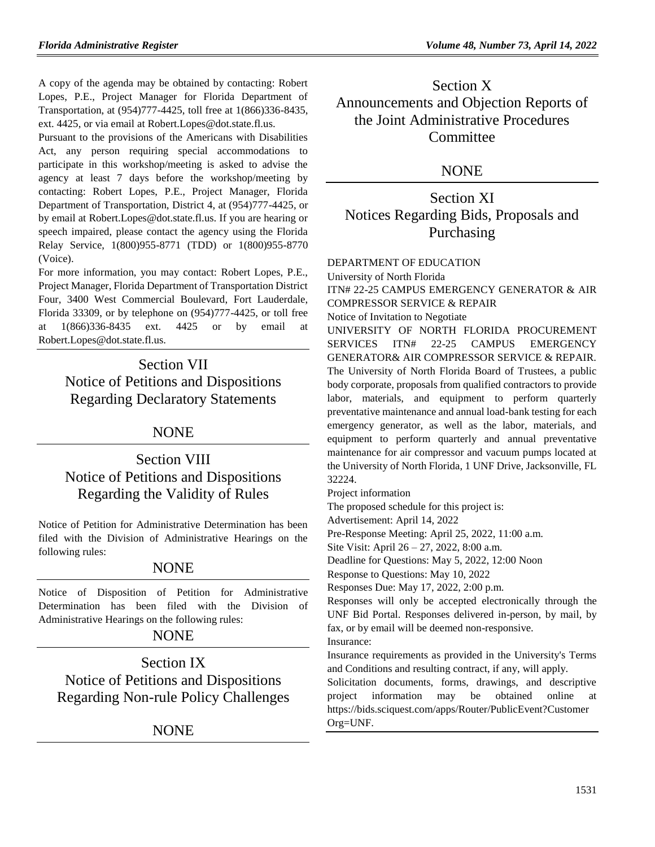A copy of the agenda may be obtained by contacting: Robert Lopes, P.E., Project Manager for Florida Department of Transportation, at (954)777-4425, toll free at 1(866)336-8435, ext. 4425, or via email at Robert.Lopes@dot.state.fl.us.

Pursuant to the provisions of the Americans with Disabilities Act, any person requiring special accommodations to participate in this workshop/meeting is asked to advise the agency at least 7 days before the workshop/meeting by contacting: Robert Lopes, P.E., Project Manager, Florida Department of Transportation, District 4, at (954)777-4425, or by email at Robert.Lopes@dot.state.fl.us. If you are hearing or speech impaired, please contact the agency using the Florida Relay Service, 1(800)955-8771 (TDD) or 1(800)955-8770 (Voice).

For more information, you may contact: Robert Lopes, P.E., Project Manager, Florida Department of Transportation District Four, 3400 West Commercial Boulevard, Fort Lauderdale, Florida 33309, or by telephone on (954)777-4425, or toll free at  $1(866)336-8435$  ext.  $4425$  or by email Robert.Lopes@dot.state.fl.us.

Section VII Notice of Petitions and Dispositions Regarding Declaratory Statements

## **NONE**

# Section VIII Notice of Petitions and Dispositions Regarding the Validity of Rules

Notice of Petition for Administrative Determination has been filed with the Division of Administrative Hearings on the following rules:

## **NONE**

Notice of Disposition of Petition for Administrative Determination has been filed with the Division of Administrative Hearings on the following rules:

## NONE

Section IX Notice of Petitions and Dispositions Regarding Non-rule Policy Challenges

NONE

Section X Announcements and Objection Reports of the Joint Administrative Procedures **Committee** 

## NONE

Section XI Notices Regarding Bids, Proposals and Purchasing

#### [DEPARTMENT OF EDUCATION](https://www.flrules.org/gateway/department.asp?id=6)

[University of North Florida](https://www.flrules.org/gateway/organization.asp?id=207)

ITN# 22-25 CAMPUS EMERGENCY GENERATOR & AIR COMPRESSOR SERVICE & REPAIR Notice of Invitation to Negotiate UNIVERSITY OF NORTH FLORIDA PROCUREMENT SERVICES ITN# 22-25 CAMPUS EMERGENCY GENERATOR& AIR COMPRESSOR SERVICE & REPAIR. The University of North Florida Board of Trustees, a public body corporate, proposals from qualified contractors to provide labor, materials, and equipment to perform quarterly preventative maintenance and annual load-bank testing for each emergency generator, as well as the labor, materials, and equipment to perform quarterly and annual preventative maintenance for air compressor and vacuum pumps located at

the University of North Florida, 1 UNF Drive, Jacksonville, FL 32224.

Project information

The proposed schedule for this project is:

Advertisement: April 14, 2022

Pre-Response Meeting: April 25, 2022, 11:00 a.m.

Site Visit: April 26 – 27, 2022, 8:00 a.m.

Deadline for Questions: May 5, 2022, 12:00 Noon

Response to Questions: May 10, 2022

Responses Due: May 17, 2022, 2:00 p.m.

Responses will only be accepted electronically through the UNF Bid Portal. Responses delivered in-person, by mail, by fax, or by email will be deemed non-responsive.

Insurance:

Insurance requirements as provided in the University's Terms and Conditions and resulting contract, if any, will apply.

Solicitation documents, forms, drawings, and descriptive project information may be obtained online at [https://bids.sciquest.com/apps/Router/PublicEvent?Customer](https://bids.sciquest.com/apps/Router/PublicEvent?CustomerOrg=UNF) [Org=UNF.](https://bids.sciquest.com/apps/Router/PublicEvent?CustomerOrg=UNF)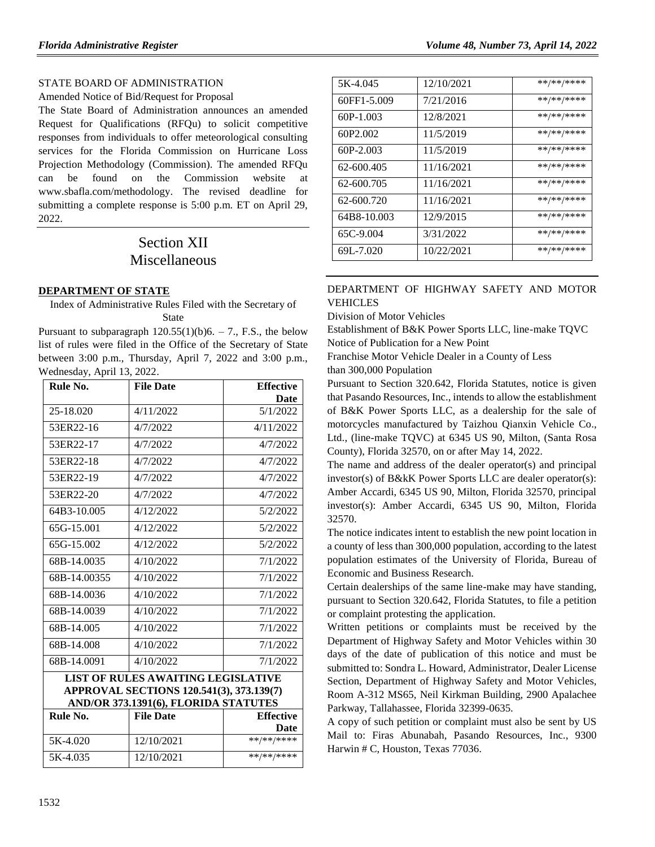## [STATE BOARD OF ADMINISTRATION](https://www.flrules.org/gateway/department.asp?id=19)

Amended Notice of Bid/Request for Proposal

The State Board of Administration announces an amended Request for Qualifications (RFQu) to solicit competitive responses from individuals to offer meteorological consulting services for the Florida Commission on Hurricane Loss Projection Methodology (Commission). The amended RFQu can be found on the Commission website at [www.sbafla.com/methodology.](http://www.sbafla.com/methodology) The revised deadline for submitting a complete response is 5:00 p.m. ET on April 29, 2022.

# Section XII Miscellaneous

## **[DEPARTMENT OF STATE](https://www.flrules.org/gateway/department.asp?id=1)**

Index of Administrative Rules Filed with the Secretary of State

Pursuant to subparagraph  $120.55(1)(b)6. - 7$ ., F.S., the below list of rules were filed in the Office of the Secretary of State between 3:00 p.m., Thursday, April 7, 2022 and 3:00 p.m., Wednesday, April 13, 2022.

| Rule No.     | <b>File Date</b> | <b>Effective</b> |
|--------------|------------------|------------------|
|              |                  | Date             |
| 25-18.020    | 4/11/2022        | 5/1/2022         |
| 53ER22-16    | 4/7/2022         | 4/11/2022        |
| 53ER22-17    | 4/7/2022         | 4/7/2022         |
| 53ER22-18    | 4/7/2022         | 4/7/2022         |
| 53ER22-19    | 4/7/2022         | 4/7/2022         |
| 53ER22-20    | 4/7/2022         | 4/7/2022         |
| 64B3-10.005  | 4/12/2022        | 5/2/2022         |
| 65G-15.001   | 4/12/2022        | 5/2/2022         |
| 65G-15.002   | 4/12/2022        | 5/2/2022         |
| 68B-14.0035  | 4/10/2022        | 7/1/2022         |
| 68B-14.00355 | 4/10/2022        | 7/1/2022         |
| 68B-14.0036  | 4/10/2022        | 7/1/2022         |
| 68B-14.0039  | 4/10/2022        | 7/1/2022         |
| 68B-14.005   | 4/10/2022        | 7/1/2022         |
| 68B-14.008   | 4/10/2022        | 7/1/2022         |
| 68B-14.0091  | 4/10/2022        | 7/1/2022         |

#### **LIST OF RULES AWAITING LEGISLATIVE APPROVAL SECTIONS 120.541(3), 373.139(7) AND/OR 373.1391(6), FLORIDA STATUTES**

| Rule No. | <b>File Date</b> | <b>Effective</b> |
|----------|------------------|------------------|
|          |                  | Date             |
| 5K-4.020 | 12/10/2021       | **/**/****       |
| 5K-4.035 | 12/10/2021       | **/**/****       |

| 5K-4.045    | 12/10/2021 | **/**/**** |
|-------------|------------|------------|
| 60FF1-5.009 | 7/21/2016  | **/**/**** |
| $60P-1.003$ | 12/8/2021  | **/**/**** |
| 60P2.002    | 11/5/2019  | **/**/**** |
| $60P-2.003$ | 11/5/2019  | **/**/**** |
| 62-600.405  | 11/16/2021 | **/**/**** |
| 62-600.705  | 11/16/2021 | **/**/**** |
| 62-600.720  | 11/16/2021 | **/**/**** |
| 64B8-10.003 | 12/9/2015  | **/**/**** |
| 65C-9.004   | 3/31/2022  | **/**/**** |
| 69L-7.020   | 10/22/2021 | **/**/**** |

## [DEPARTMENT OF HIGHWAY SAFETY AND MOTOR](https://www.flrules.org/gateway/department.asp?id=15)  [VEHICLES](https://www.flrules.org/gateway/department.asp?id=15)

[Division of Motor Vehicles](https://www.flrules.org/gateway/organization.asp?id=42)

Establishment of B&K Power Sports LLC, line-make TQVC Notice of Publication for a New Point

Franchise Motor Vehicle Dealer in a County of Less than 300,000 Population

Pursuant to Section 320.642, Florida Statutes, notice is given that Pasando Resources, Inc., intends to allow the establishment of B&K Power Sports LLC, as a dealership for the sale of motorcycles manufactured by Taizhou Qianxin Vehicle Co., Ltd., (line-make TQVC) at 6345 US 90, Milton, (Santa Rosa County), Florida 32570, on or after May 14, 2022.

The name and address of the dealer operator(s) and principal investor(s) of B&kK Power Sports LLC are dealer operator(s): Amber Accardi, 6345 US 90, Milton, Florida 32570, principal investor(s): Amber Accardi, 6345 US 90, Milton, Florida 32570.

The notice indicates intent to establish the new point location in a county of less than 300,000 population, according to the latest population estimates of the University of Florida, Bureau of Economic and Business Research.

Certain dealerships of the same line-make may have standing, pursuant to Section 320.642, Florida Statutes, to file a petition or complaint protesting the application.

Written petitions or complaints must be received by the Department of Highway Safety and Motor Vehicles within 30 days of the date of publication of this notice and must be submitted to: Sondra L. Howard, Administrator, Dealer License Section, Department of Highway Safety and Motor Vehicles, Room A-312 MS65, Neil Kirkman Building, 2900 Apalachee Parkway, Tallahassee, Florida 32399-0635.

A copy of such petition or complaint must also be sent by US Mail to: Firas Abunabah, Pasando Resources, Inc., 9300 Harwin # C, Houston, Texas 77036.